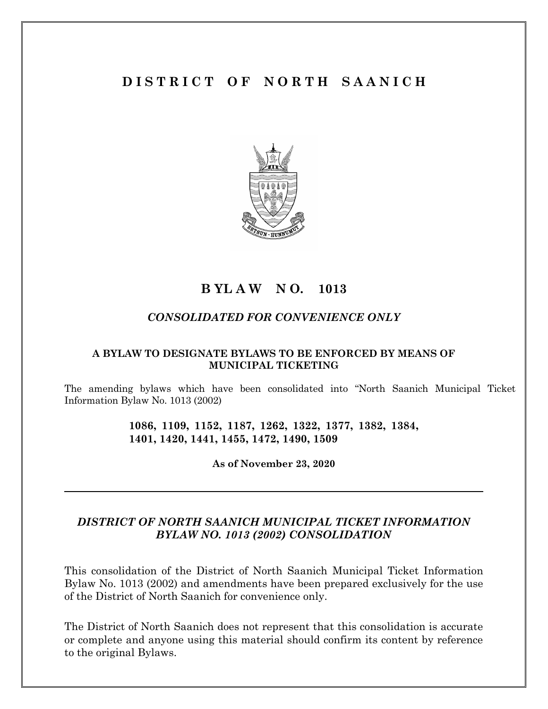# **D I S T R I C T O F N O R T H S A A N I C H**



# **B YL A W N O. 1013**

## *CONSOLIDATED FOR CONVENIENCE ONLY*

#### **A BYLAW TO DESIGNATE BYLAWS TO BE ENFORCED BY MEANS OF MUNICIPAL TICKETING**

The amending bylaws which have been consolidated into "North Saanich Municipal Ticket Information Bylaw No. 1013 (2002)

> **1086, 1109, 1152, 1187, 1262, 1322, 1377, 1382, 1384, 1401, 1420, 1441, 1455, 1472, 1490, 1509**

> > **As of November 23, 2020**

# *DISTRICT OF NORTH SAANICH MUNICIPAL TICKET INFORMATION BYLAW NO. 1013 (2002) CONSOLIDATION*

This consolidation of the District of North Saanich Municipal Ticket Information Bylaw No. 1013 (2002) and amendments have been prepared exclusively for the use of the District of North Saanich for convenience only.

The District of North Saanich does not represent that this consolidation is accurate or complete and anyone using this material should confirm its content by reference to the original Bylaws.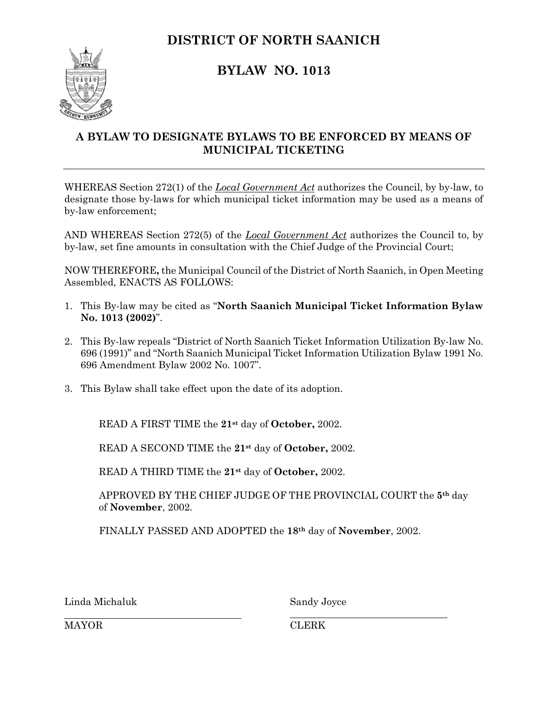# **DISTRICT OF NORTH SAANICH**



# **BYLAW NO. 1013**

# **A BYLAW TO DESIGNATE BYLAWS TO BE ENFORCED BY MEANS OF MUNICIPAL TICKETING**

WHEREAS Section 272(1) of the *Local Government Act* authorizes the Council, by by-law, to designate those by-laws for which municipal ticket information may be used as a means of by-law enforcement;

AND WHEREAS Section 272(5) of the *Local Government Act* authorizes the Council to, by by-law, set fine amounts in consultation with the Chief Judge of the Provincial Court;

NOW THEREFORE**,** the Municipal Council of the District of North Saanich, in Open Meeting Assembled, ENACTS AS FOLLOWS:

- 1. This By-law may be cited as "**North Saanich Municipal Ticket Information Bylaw No. 1013 (2002)**".
- 2. This By-law repeals "District of North Saanich Ticket Information Utilization By-law No. 696 (1991)" and "North Saanich Municipal Ticket Information Utilization Bylaw 1991 No. 696 Amendment Bylaw 2002 No. 1007".
- 3. This Bylaw shall take effect upon the date of its adoption.

READ A FIRST TIME the **21st** day of **October,** 2002.

READ A SECOND TIME the **21st** day of **October,** 2002.

READ A THIRD TIME the **21st** day of **October,** 2002.

APPROVED BY THE CHIEF JUDGE OF THE PROVINCIAL COURT the **5th** day of **November**, 2002.

FINALLY PASSED AND ADOPTED the **18th** day of **November**, 2002.

Linda Michaluk Sandy Joyce

\_\_\_\_\_\_\_\_\_\_\_\_\_\_\_\_\_\_\_\_\_\_\_\_\_\_\_\_\_\_\_\_

MAYOR CLERK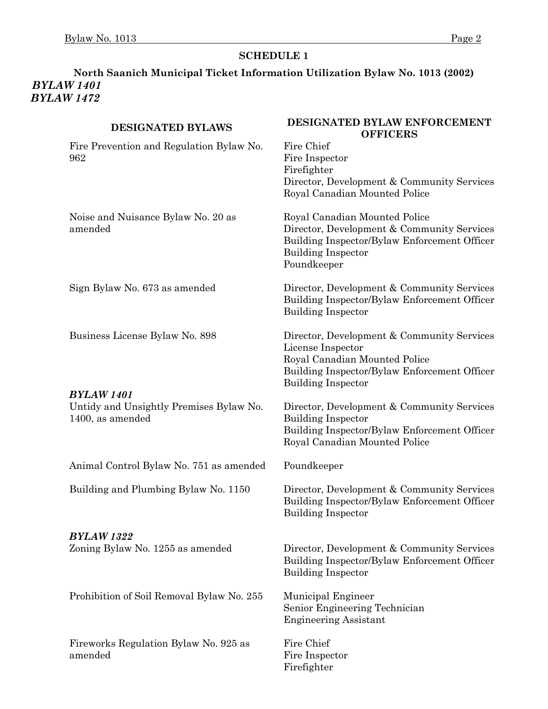# **North Saanich Municipal Ticket Information Utilization Bylaw No. 1013 (2002)** *BYLAW 1401 BYLAW 1472*

| <b>DESIGNATED BYLAWS</b>                                                         | DESIGNATED BYLAW ENFORCEMENT<br><b>OFFICERS</b>                                                                                                                               |
|----------------------------------------------------------------------------------|-------------------------------------------------------------------------------------------------------------------------------------------------------------------------------|
| Fire Prevention and Regulation Bylaw No.<br>962                                  | Fire Chief<br>Fire Inspector<br>Firefighter                                                                                                                                   |
|                                                                                  | Director, Development & Community Services<br>Royal Canadian Mounted Police                                                                                                   |
| Noise and Nuisance Bylaw No. 20 as<br>amended                                    | Royal Canadian Mounted Police<br>Director, Development & Community Services<br>Building Inspector/Bylaw Enforcement Officer<br><b>Building Inspector</b><br>Poundkeeper       |
| Sign Bylaw No. 673 as amended                                                    | Director, Development & Community Services<br>Building Inspector/Bylaw Enforcement Officer<br><b>Building Inspector</b>                                                       |
| Business License Bylaw No. 898                                                   | Director, Development & Community Services<br>License Inspector<br>Royal Canadian Mounted Police<br>Building Inspector/Bylaw Enforcement Officer<br><b>Building Inspector</b> |
| <b>BYLAW 1401</b><br>Untidy and Unsightly Premises Bylaw No.<br>1400, as amended | Director, Development & Community Services<br><b>Building Inspector</b><br>Building Inspector/Bylaw Enforcement Officer<br>Royal Canadian Mounted Police                      |
| Animal Control Bylaw No. 751 as amended                                          | Poundkeeper                                                                                                                                                                   |
| Building and Plumbing Bylaw No. 1150                                             | Director, Development & Community Services<br>Building Inspector/Bylaw Enforcement Officer<br><b>Building Inspector</b>                                                       |
| <b>BYLAW 1322</b><br>Zoning Bylaw No. 1255 as amended                            | Director, Development & Community Services<br>Building Inspector/Bylaw Enforcement Officer<br><b>Building Inspector</b>                                                       |
| Prohibition of Soil Removal Bylaw No. 255                                        | Municipal Engineer<br>Senior Engineering Technician<br><b>Engineering Assistant</b>                                                                                           |
| Fireworks Regulation Bylaw No. 925 as<br>amended                                 | Fire Chief<br>Fire Inspector<br>Firefighter                                                                                                                                   |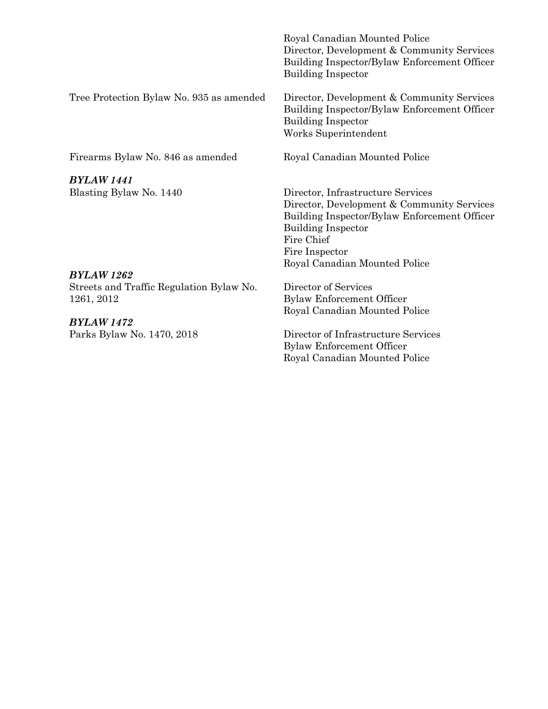|                                          | Royal Canadian Mounted Police<br>Director, Development & Community Services<br>Building Inspector/Bylaw Enforcement Officer<br><b>Building Inspector</b>                                                                      |
|------------------------------------------|-------------------------------------------------------------------------------------------------------------------------------------------------------------------------------------------------------------------------------|
| Tree Protection Bylaw No. 935 as amended | Director, Development & Community Services<br>Building Inspector/Bylaw Enforcement Officer<br><b>Building Inspector</b><br>Works Superintendent                                                                               |
| Firearms Bylaw No. 846 as amended        | Royal Canadian Mounted Police                                                                                                                                                                                                 |
| BYLAW 1441                               |                                                                                                                                                                                                                               |
| Blasting Bylaw No. 1440                  | Director, Infrastructure Services<br>Director, Development & Community Services<br>Building Inspector/Bylaw Enforcement Officer<br><b>Building Inspector</b><br>Fire Chief<br>Fire Inspector<br>Royal Canadian Mounted Police |

Streets and Traffic Regulation Bylaw No. 1261, 2012

*BYLAW 1472*

Director of Services Bylaw Enforcement Officer Royal Canadian Mounted Police

Parks Bylaw No. 1470, 2018 Director of Infrastructure Services Bylaw Enforcement Officer Royal Canadian Mounted Police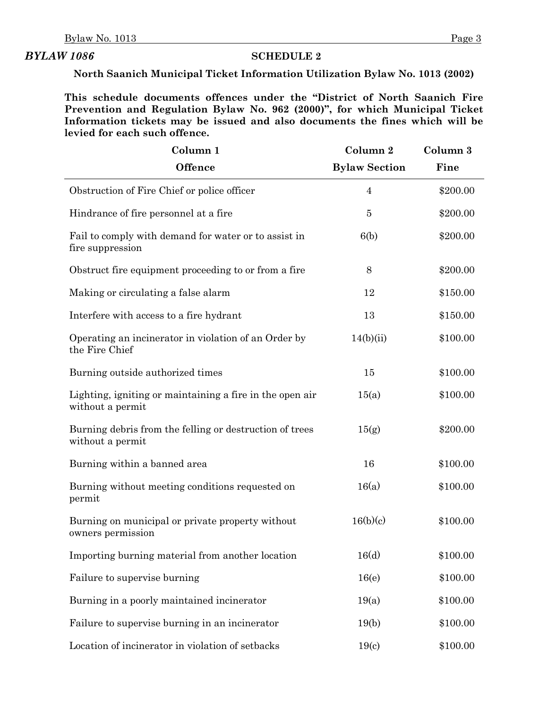#### *BYLAW 1086* **SCHEDULE 2**

**North Saanich Municipal Ticket Information Utilization Bylaw No. 1013 (2002)**

**This schedule documents offences under the "District of North Saanich Fire Prevention and Regulation Bylaw No. 962 (2000)", for which Municipal Ticket Information tickets may be issued and also documents the fines which will be levied for each such offence.**

| Column 1                                                                     | Column 2             | Column 3 |
|------------------------------------------------------------------------------|----------------------|----------|
| <b>Offence</b>                                                               | <b>Bylaw Section</b> | Fine     |
| Obstruction of Fire Chief or police officer                                  | $\overline{4}$       | \$200.00 |
| Hindrance of fire personnel at a fire                                        | 5                    | \$200.00 |
| Fail to comply with demand for water or to assist in<br>fire suppression     | 6(b)                 | \$200.00 |
| Obstruct fire equipment proceeding to or from a fire                         | 8                    | \$200.00 |
| Making or circulating a false alarm                                          | 12                   | \$150.00 |
| Interfere with access to a fire hydrant                                      | 13                   | \$150.00 |
| Operating an incinerator in violation of an Order by<br>the Fire Chief       | 14(b)(ii)            | \$100.00 |
| Burning outside authorized times                                             | 15                   | \$100.00 |
| Lighting, igniting or maintaining a fire in the open air<br>without a permit | 15(a)                | \$100.00 |
| Burning debris from the felling or destruction of trees<br>without a permit  | 15(g)                | \$200.00 |
| Burning within a banned area                                                 | 16                   | \$100.00 |
| Burning without meeting conditions requested on<br>permit                    | 16(a)                | \$100.00 |
| Burning on municipal or private property without<br>owners permission        | 16(b)(c)             | \$100.00 |
| Importing burning material from another location                             | 16(d)                | \$100.00 |
| Failure to supervise burning                                                 | 16(e)                | \$100.00 |
| Burning in a poorly maintained incinerator                                   | 19(a)                | \$100.00 |
| Failure to supervise burning in an incinerator                               | 19(b)                | \$100.00 |
| Location of incinerator in violation of setbacks                             | 19(c)                | \$100.00 |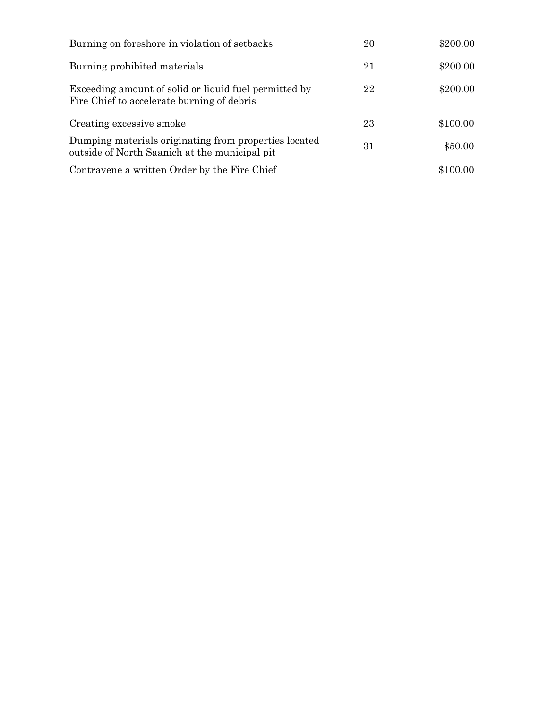| Burning on foreshore in violation of setbacks                                                          | 20 | \$200.00 |
|--------------------------------------------------------------------------------------------------------|----|----------|
| Burning prohibited materials                                                                           | 21 | \$200.00 |
| Exceeding amount of solid or liquid fuel permitted by<br>Fire Chief to accelerate burning of debris    | 22 | \$200.00 |
| Creating excessive smoke                                                                               | 23 | \$100.00 |
| Dumping materials originating from properties located<br>outside of North Saanich at the municipal pit | 31 | \$50.00  |
| Contravene a written Order by the Fire Chief                                                           |    | \$100.00 |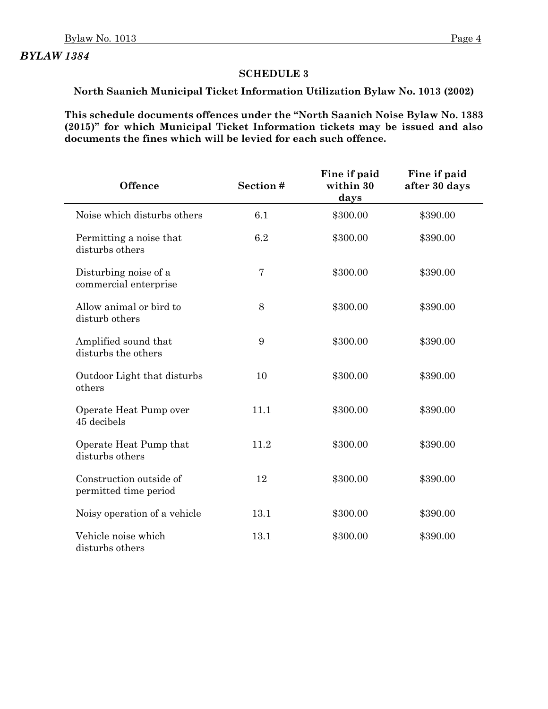#### **SCHEDULE 3**

# **North Saanich Municipal Ticket Information Utilization Bylaw No. 1013 (2002)**

**This schedule documents offences under the "North Saanich Noise Bylaw No. 1383 (2015)" for which Municipal Ticket Information tickets may be issued and also documents the fines which will be levied for each such offence.**

| <b>Offence</b>                                   | Section#       | Fine if paid<br>within 30<br>days | Fine if paid<br>after 30 days |  |
|--------------------------------------------------|----------------|-----------------------------------|-------------------------------|--|
| Noise which disturbs others                      | 6.1            | \$300.00                          | \$390.00                      |  |
| Permitting a noise that<br>disturbs others       | 6.2            | \$300.00                          | \$390.00                      |  |
| Disturbing noise of a<br>commercial enterprise   | $\overline{7}$ | \$300.00                          | \$390.00                      |  |
| Allow animal or bird to<br>disturb others        | 8              | \$300.00                          | \$390.00                      |  |
| Amplified sound that<br>disturbs the others      | 9              | \$300.00                          | \$390.00                      |  |
| Outdoor Light that disturbs<br>others            | 10             | \$300.00                          | \$390.00                      |  |
| Operate Heat Pump over<br>45 decibels            | 11.1           | \$300.00                          | \$390.00                      |  |
| Operate Heat Pump that<br>disturbs others        | 11.2           | \$300.00                          | \$390.00                      |  |
| Construction outside of<br>permitted time period | 12             | \$300.00                          | \$390.00                      |  |
| Noisy operation of a vehicle                     | 13.1           | \$300.00                          | \$390.00                      |  |
| Vehicle noise which<br>disturbs others           | 13.1           | \$300.00                          | \$390.00                      |  |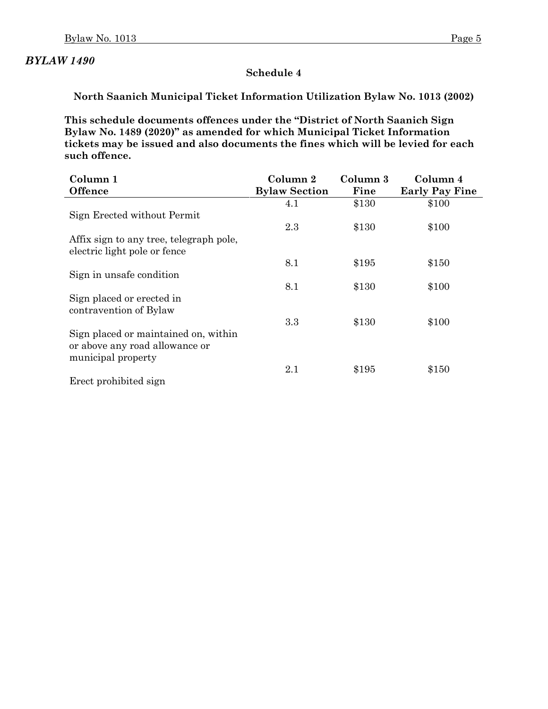#### **Schedule 4**

**North Saanich Municipal Ticket Information Utilization Bylaw No. 1013 (2002)**

**This schedule documents offences under the "District of North Saanich Sign Bylaw No. 1489 (2020)" as amended for which Municipal Ticket Information tickets may be issued and also documents the fines which will be levied for each such offence.**

| Column 1                                | Column 2             | Column 3 | Column 4              |
|-----------------------------------------|----------------------|----------|-----------------------|
| <b>Offence</b>                          | <b>Bylaw Section</b> | Fine     | <b>Early Pay Fine</b> |
|                                         | 4.1                  | \$130    | \$100                 |
| Sign Erected without Permit             |                      |          |                       |
|                                         | 2.3                  | \$130    | \$100                 |
| Affix sign to any tree, telegraph pole, |                      |          |                       |
| electric light pole or fence            |                      |          |                       |
|                                         | 8.1                  | \$195    | \$150                 |
| Sign in unsafe condition                |                      |          |                       |
|                                         | 8.1                  | \$130    | \$100                 |
| Sign placed or erected in               |                      |          |                       |
| contravention of Bylaw                  |                      |          |                       |
|                                         | 3.3                  | \$130    | \$100                 |
| Sign placed or maintained on, within    |                      |          |                       |
| or above any road allowance or          |                      |          |                       |
| municipal property                      |                      |          |                       |
|                                         | 2.1                  | \$195    | \$150                 |
| Erect prohibited sign                   |                      |          |                       |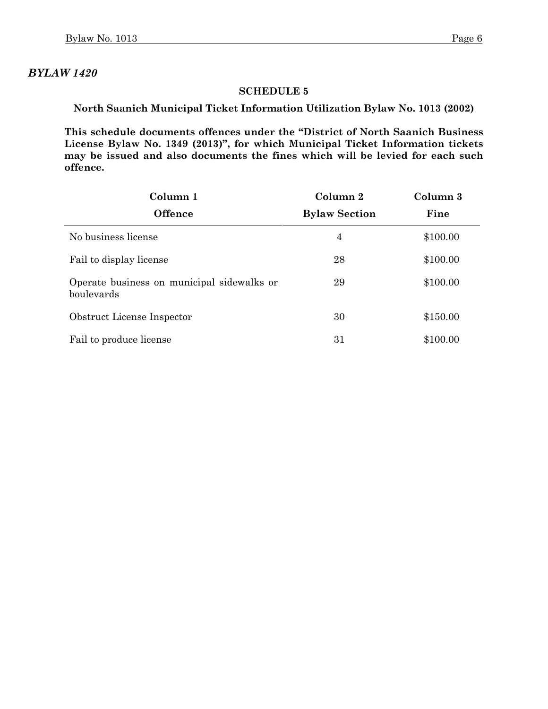#### **SCHEDULE 5**

**North Saanich Municipal Ticket Information Utilization Bylaw No. 1013 (2002)**

**This schedule documents offences under the "District of North Saanich Business License Bylaw No. 1349 (2013)", for which Municipal Ticket Information tickets may be issued and also documents the fines which will be levied for each such offence.**

| Column 1                                                 | Column 2             | Column 3 |
|----------------------------------------------------------|----------------------|----------|
| <b>Offence</b>                                           | <b>Bylaw Section</b> | Fine     |
| No business license                                      | 4                    | \$100.00 |
| Fail to display license                                  | 28                   | \$100.00 |
| Operate business on municipal sidewalks or<br>boulevards | 29                   | \$100.00 |
| Obstruct License Inspector                               | 30                   | \$150.00 |
| Fail to produce license                                  | 31                   | \$100.00 |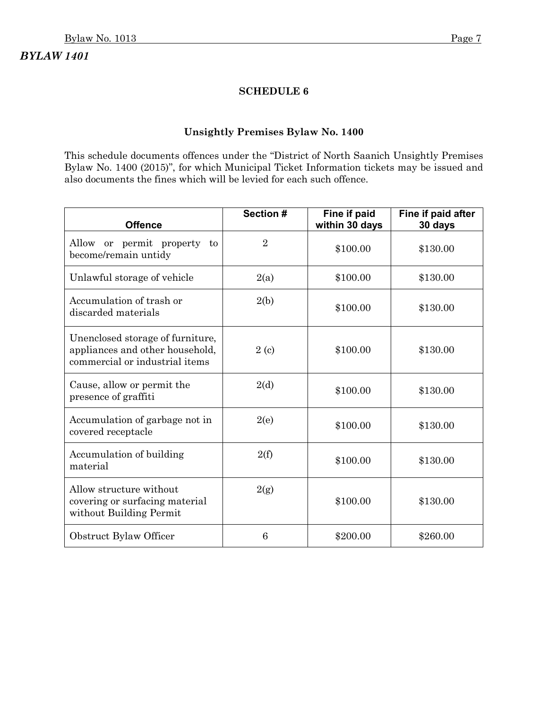#### **SCHEDULE 6**

#### **Unsightly Premises Bylaw No. 1400**

This schedule documents offences under the "District of North Saanich Unsightly Premises Bylaw No. 1400 (2015)", for which Municipal Ticket Information tickets may be issued and also documents the fines which will be levied for each such offence.

| <b>Offence</b>                                                                                        | Section #      | Fine if paid<br>within 30 days | Fine if paid after<br>30 days |
|-------------------------------------------------------------------------------------------------------|----------------|--------------------------------|-------------------------------|
| Allow or permit property to<br>become/remain untidy                                                   | $\overline{2}$ | \$100.00                       | \$130.00                      |
| Unlawful storage of vehicle                                                                           | 2(a)           | \$100.00                       | \$130.00                      |
| Accumulation of trash or<br>discarded materials                                                       | 2(b)           | \$100.00                       | \$130.00                      |
| Unenclosed storage of furniture,<br>appliances and other household,<br>commercial or industrial items | 2(c)           | \$100.00                       | \$130.00                      |
| Cause, allow or permit the<br>presence of graffiti                                                    | 2(d)           | \$100.00                       | \$130.00                      |
| Accumulation of garbage not in<br>covered receptacle                                                  | 2(e)           | \$100.00                       | \$130.00                      |
| Accumulation of building<br>material                                                                  | 2(f)           | \$100.00                       | \$130.00                      |
| Allow structure without<br>covering or surfacing material<br>without Building Permit                  | 2(g)           | \$100.00                       | \$130.00                      |
| Obstruct Bylaw Officer                                                                                | 6              | \$200.00                       | \$260.00                      |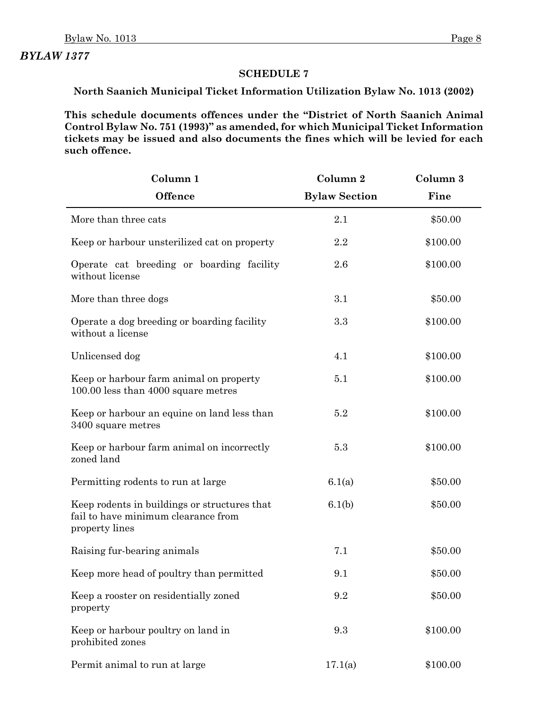### **SCHEDULE 7**

**North Saanich Municipal Ticket Information Utilization Bylaw No. 1013 (2002)**

**This schedule documents offences under the "District of North Saanich Animal Control Bylaw No. 751 (1993)" as amended, for which Municipal Ticket Information tickets may be issued and also documents the fines which will be levied for each such offence.**

| Column 1                                                                                              | Column 2             | Column 3 |
|-------------------------------------------------------------------------------------------------------|----------------------|----------|
| <b>Offence</b>                                                                                        | <b>Bylaw Section</b> | Fine     |
| More than three cats                                                                                  | 2.1                  | \$50.00  |
| Keep or harbour unsterilized cat on property                                                          | 2.2                  | \$100.00 |
| Operate cat breeding or boarding facility<br>without license                                          | 2.6                  | \$100.00 |
| More than three dogs                                                                                  | 3.1                  | \$50.00  |
| Operate a dog breeding or boarding facility<br>without a license                                      | 3.3                  | \$100.00 |
| Unlicensed dog                                                                                        | 4.1                  | \$100.00 |
| Keep or harbour farm animal on property<br>100.00 less than 4000 square metres                        | 5.1                  | \$100.00 |
| Keep or harbour an equine on land less than<br>3400 square metres                                     | 5.2                  | \$100.00 |
| Keep or harbour farm animal on incorrectly<br>zoned land                                              | 5.3                  | \$100.00 |
| Permitting rodents to run at large                                                                    | 6.1(a)               | \$50.00  |
| Keep rodents in buildings or structures that<br>fail to have minimum clearance from<br>property lines | 6.1(b)               | \$50.00  |
| Raising fur-bearing animals                                                                           | 7.1                  | \$50.00  |
| Keep more head of poultry than permitted                                                              | 9.1                  | \$50.00  |
| Keep a rooster on residentially zoned<br>property                                                     | 9.2                  | \$50.00  |
| Keep or harbour poultry on land in<br>prohibited zones                                                | 9.3                  | \$100.00 |
| Permit animal to run at large                                                                         | 17.1(a)              | \$100.00 |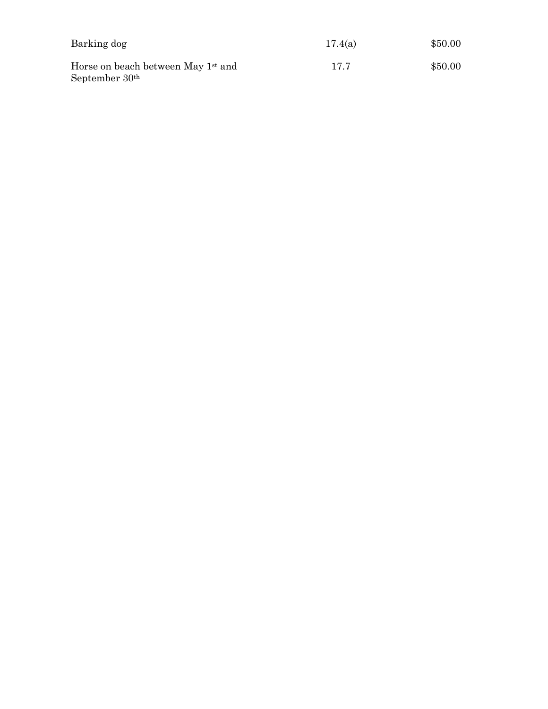| Barking dog                                                                  | 17.4(a) | \$50.00 |
|------------------------------------------------------------------------------|---------|---------|
| Horse on beach between May 1 <sup>st</sup> and<br>September 30 <sup>th</sup> | 17.7    | \$50.00 |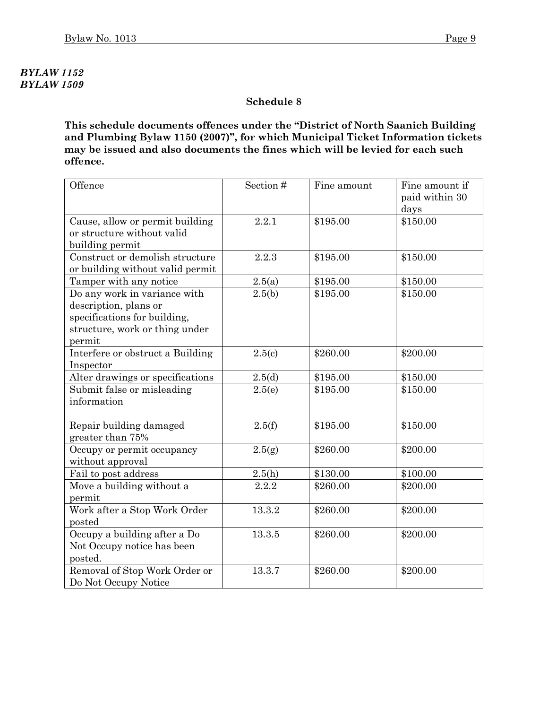# *BYLAW 1152 BYLAW 1509*

#### **Schedule 8**

**This schedule documents offences under the "District of North Saanich Building and Plumbing Bylaw 1150 (2007)", for which Municipal Ticket Information tickets may be issued and also documents the fines which will be levied for each such offence.**

| Offence                          | Section# | Fine amount | Fine amount if |
|----------------------------------|----------|-------------|----------------|
|                                  |          |             | paid within 30 |
|                                  |          |             | days           |
| Cause, allow or permit building  | 2.2.1    | \$195.00    | \$150.00       |
| or structure without valid       |          |             |                |
| building permit                  |          |             |                |
| Construct or demolish structure  | 2.2.3    | \$195.00    | \$150.00       |
| or building without valid permit |          |             |                |
| Tamper with any notice           | 2.5(a)   | \$195.00    | \$150.00       |
| Do any work in variance with     | 2.5(b)   | \$195.00    | \$150.00       |
| description, plans or            |          |             |                |
| specifications for building,     |          |             |                |
| structure, work or thing under   |          |             |                |
| permit                           |          |             |                |
| Interfere or obstruct a Building | 2.5(c)   | \$260.00    | \$200.00       |
| Inspector                        |          |             |                |
| Alter drawings or specifications | 2.5(d)   | \$195.00    | \$150.00       |
| Submit false or misleading       | 2.5(e)   | \$195.00    | \$150.00       |
| information                      |          |             |                |
|                                  |          |             |                |
| Repair building damaged          | 2.5(f)   | \$195.00    | \$150.00       |
| greater than 75%                 |          |             |                |
| Occupy or permit occupancy       | 2.5(g)   | \$260.00    | \$200.00       |
| without approval                 |          |             |                |
| Fail to post address             | 2.5(h)   | \$130.00    | \$100.00       |
| Move a building without a        | 2.2.2    | \$260.00    | \$200.00       |
| permit                           |          |             |                |
| Work after a Stop Work Order     | 13.3.2   | \$260.00    | \$200.00       |
| posted                           |          |             |                |
| Occupy a building after a Do     | 13.3.5   | \$260.00    | \$200.00       |
| Not Occupy notice has been       |          |             |                |
| posted.                          |          |             |                |
| Removal of Stop Work Order or    | 13.3.7   | \$260.00    | \$200.00       |
| Do Not Occupy Notice             |          |             |                |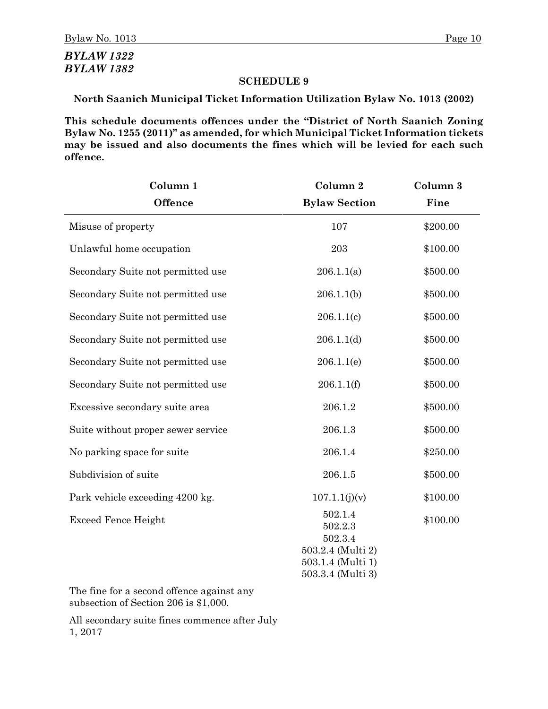# *BYLAW 1322 BYLAW 1382*

#### **SCHEDULE 9**

**North Saanich Municipal Ticket Information Utilization Bylaw No. 1013 (2002)**

**This schedule documents offences under the "District of North Saanich Zoning Bylaw No. 1255 (2011)" as amended, for which Municipal Ticket Information tickets may be issued and also documents the fines which will be levied for each such offence.**

| Column 1                           | Column 2                               | Column 3 |
|------------------------------------|----------------------------------------|----------|
| <b>Offence</b>                     | <b>Bylaw Section</b>                   | Fine     |
| Misuse of property                 | 107                                    | \$200.00 |
| Unlawful home occupation           | 203                                    | \$100.00 |
| Secondary Suite not permitted use  | 206.1.1(a)                             | \$500.00 |
| Secondary Suite not permitted use  | 206.1.1(b)                             | \$500.00 |
| Secondary Suite not permitted use  | 206.1.1(c)                             | \$500.00 |
| Secondary Suite not permitted use  | 206.1.1(d)                             | \$500.00 |
| Secondary Suite not permitted use  | 206.1.1(e)                             | \$500.00 |
| Secondary Suite not permitted use  | 206.1.1(f)                             | \$500.00 |
| Excessive secondary suite area     | 206.1.2                                | \$500.00 |
| Suite without proper sewer service | 206.1.3                                | \$500.00 |
| No parking space for suite         | 206.1.4                                | \$250.00 |
| Subdivision of suite               | 206.1.5                                | \$500.00 |
| Park vehicle exceeding 4200 kg.    | 107.1.1(j)(v)                          | \$100.00 |
| <b>Exceed Fence Height</b>         | 502.1.4<br>502.2.3<br>502.3.4          | \$100.00 |
|                                    | 503.2.4 (Multi 2)                      |          |
|                                    | 503.1.4 (Multi 1)<br>503.3.4 (Multi 3) |          |

The fine for a second offence against any subsection of Section 206 is \$1,000.

All secondary suite fines commence after July 1, 2017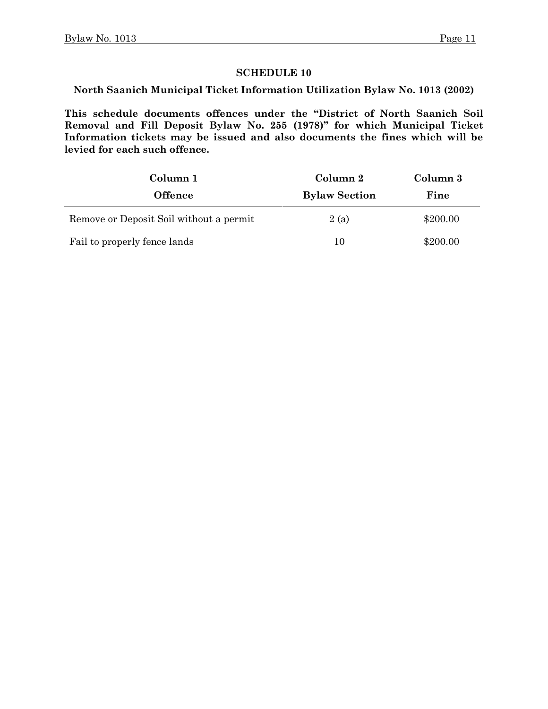**North Saanich Municipal Ticket Information Utilization Bylaw No. 1013 (2002)**

**This schedule documents offences under the "District of North Saanich Soil Removal and Fill Deposit Bylaw No. 255 (1978)" for which Municipal Ticket Information tickets may be issued and also documents the fines which will be levied for each such offence.**

| Column 1                                | Column 2             | Column 3 |
|-----------------------------------------|----------------------|----------|
| <b>Offence</b>                          | <b>Bylaw Section</b> | Fine     |
| Remove or Deposit Soil without a permit | 2(a)                 | \$200.00 |
| Fail to properly fence lands            | 10                   | \$200.00 |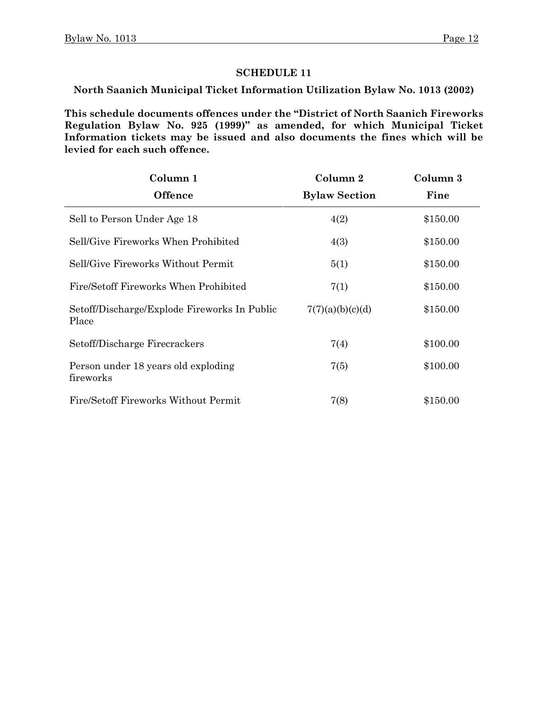**North Saanich Municipal Ticket Information Utilization Bylaw No. 1013 (2002)**

**This schedule documents offences under the "District of North Saanich Fireworks Regulation Bylaw No. 925 (1999)" as amended, for which Municipal Ticket Information tickets may be issued and also documents the fines which will be levied for each such offence.**

| Column 1                                              | Column 2             | Column 3 |
|-------------------------------------------------------|----------------------|----------|
| <b>Offence</b>                                        | <b>Bylaw Section</b> | Fine     |
| Sell to Person Under Age 18                           | 4(2)                 | \$150.00 |
| Sell/Give Fireworks When Prohibited                   | 4(3)                 | \$150.00 |
| Sell/Give Fireworks Without Permit                    | 5(1)                 | \$150.00 |
| Fire/Setoff Fireworks When Prohibited                 | 7(1)                 | \$150.00 |
| Setoff/Discharge/Explode Fireworks In Public<br>Place | 7(7)(a)(b)(c)(d)     | \$150.00 |
| Setoff/Discharge Firecrackers                         | 7(4)                 | \$100.00 |
| Person under 18 years old exploding<br>fireworks      | 7(5)                 | \$100.00 |
| Fire/Setoff Fireworks Without Permit                  | 7(8)                 | \$150.00 |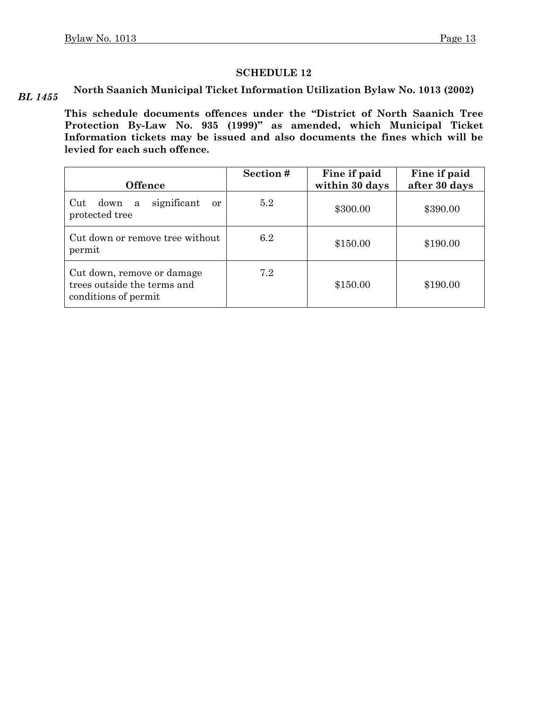*BL 1455* **North Saanich Municipal Ticket Information Utilization Bylaw No. 1013 (2002)**

> **This schedule documents offences under the "District of North Saanich Tree Protection By-Law No. 935 (1999)" as amended, which Municipal Ticket Information tickets may be issued and also documents the fines which will be levied for each such offence.**

| <b>Offence</b>                                                                    | Section# | Fine if paid<br>within 30 days | Fine if paid<br>after 30 days |
|-----------------------------------------------------------------------------------|----------|--------------------------------|-------------------------------|
| significant<br>Cut<br>down<br>a<br>or<br>protected tree                           | 5.2      | \$300.00                       | \$390.00                      |
| Cut down or remove tree without<br>permit                                         | 6.2      | \$150.00                       | \$190.00                      |
| Cut down, remove or damage<br>trees outside the terms and<br>conditions of permit | 7.2      | \$150.00                       | \$190.00                      |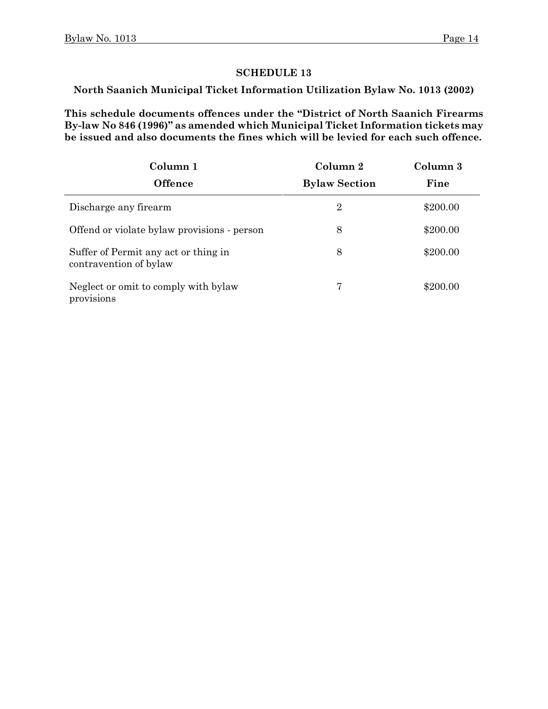**North Saanich Municipal Ticket Information Utilization Bylaw No. 1013 (2002)**

**This schedule documents offences under the "District of North Saanich Firearms By-law No 846 (1996)" as amended which Municipal Ticket Information tickets may be issued and also documents the fines which will be levied for each such offence.**

| Column 1                                                       | Column 2             | Column 3 |
|----------------------------------------------------------------|----------------------|----------|
| <b>Offence</b>                                                 | <b>Bylaw Section</b> | Fine     |
| Discharge any firearm                                          | $\overline{2}$       | \$200.00 |
| Offend or violate bylaw provisions - person                    | 8                    | \$200.00 |
| Suffer of Permit any act or thing in<br>contravention of bylaw | 8                    | \$200.00 |
| Neglect or omit to comply with bylaw<br>provisions             | 7                    | \$200.00 |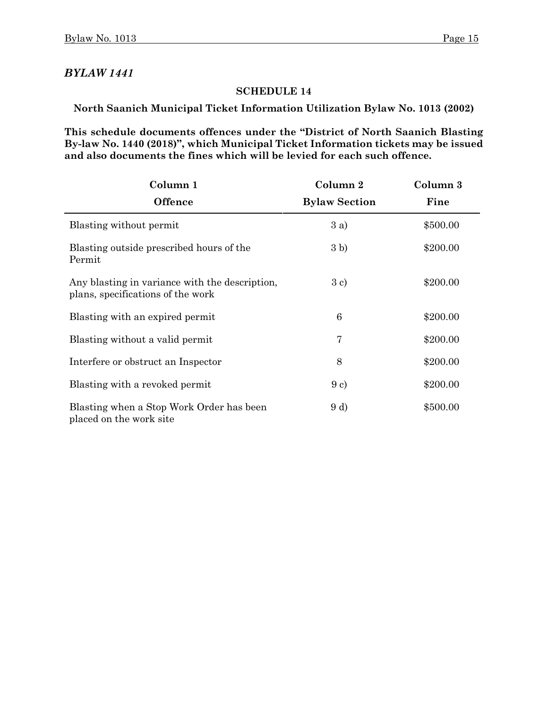#### **SCHEDULE 14**

**North Saanich Municipal Ticket Information Utilization Bylaw No. 1013 (2002)**

**This schedule documents offences under the "District of North Saanich Blasting By-law No. 1440 (2018)", which Municipal Ticket Information tickets may be issued and also documents the fines which will be levied for each such offence.**

| Column 1                                                                            | Column 2             | Column 3 |
|-------------------------------------------------------------------------------------|----------------------|----------|
| <b>Offence</b>                                                                      | <b>Bylaw Section</b> | Fine     |
| Blasting without permit                                                             | 3a)                  | \$500.00 |
| Blasting outside prescribed hours of the<br>Permit                                  | 3 b)                 | \$200.00 |
| Any blasting in variance with the description,<br>plans, specifications of the work | 3 c)                 | \$200.00 |
| Blasting with an expired permit                                                     | 6                    | \$200.00 |
| Blasting without a valid permit                                                     | 7                    | \$200.00 |
| Interfere or obstruct an Inspector                                                  | 8                    | \$200.00 |
| Blasting with a revoked permit                                                      | 9c)                  | \$200.00 |
| Blasting when a Stop Work Order has been<br>placed on the work site                 | 9 d)                 | \$500.00 |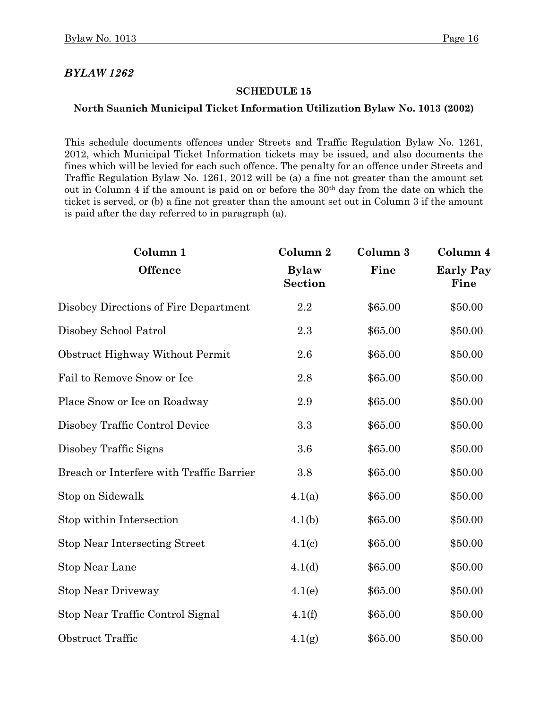#### **SCHEDULE 15**

#### **North Saanich Municipal Ticket Information Utilization Bylaw No. 1013 (2002)**

This schedule documents offences under Streets and Traffic Regulation Bylaw No. 1261, 2012, which Municipal Ticket Information tickets may be issued, and also documents the fines which will be levied for each such offence. The penalty for an offence under Streets and Traffic Regulation Bylaw No. 1261, 2012 will be (a) a fine not greater than the amount set out in Column 4 if the amount is paid on or before the 30th day from the date on which the ticket is served, or (b) a fine not greater than the amount set out in Column 3 if the amount is paid after the day referred to in paragraph (a).

| Column 1                                 | Column 2                       | Column 3 | Column 4                 |
|------------------------------------------|--------------------------------|----------|--------------------------|
| <b>Offence</b>                           | <b>Bylaw</b><br><b>Section</b> | Fine     | <b>Early Pay</b><br>Fine |
| Disobey Directions of Fire Department    | 2.2                            | \$65.00  | \$50.00                  |
| Disobey School Patrol                    | 2.3                            | \$65.00  | \$50.00                  |
| Obstruct Highway Without Permit          | 2.6                            | \$65.00  | \$50.00                  |
| Fail to Remove Snow or Ice               | 2.8                            | \$65.00  | \$50.00                  |
| Place Snow or Ice on Roadway             | 2.9                            | \$65.00  | \$50.00                  |
| Disobey Traffic Control Device           | 3.3                            | \$65.00  | \$50.00                  |
| Disobey Traffic Signs                    | 3.6                            | \$65.00  | \$50.00                  |
| Breach or Interfere with Traffic Barrier | 3.8                            | \$65.00  | \$50.00                  |
| Stop on Sidewalk                         | 4.1(a)                         | \$65.00  | \$50.00                  |
| Stop within Intersection                 | 4.1(b)                         | \$65.00  | \$50.00                  |
| <b>Stop Near Intersecting Street</b>     | 4.1(c)                         | \$65.00  | \$50.00                  |
| <b>Stop Near Lane</b>                    | 4.1 <sub>d</sub>               | \$65.00  | \$50.00                  |
| <b>Stop Near Driveway</b>                | 4.1(e)                         | \$65.00  | \$50.00                  |
| Stop Near Traffic Control Signal         | 4.1(f)                         | \$65.00  | \$50.00                  |
| Obstruct Traffic                         | 4.1(g)                         | \$65.00  | \$50.00                  |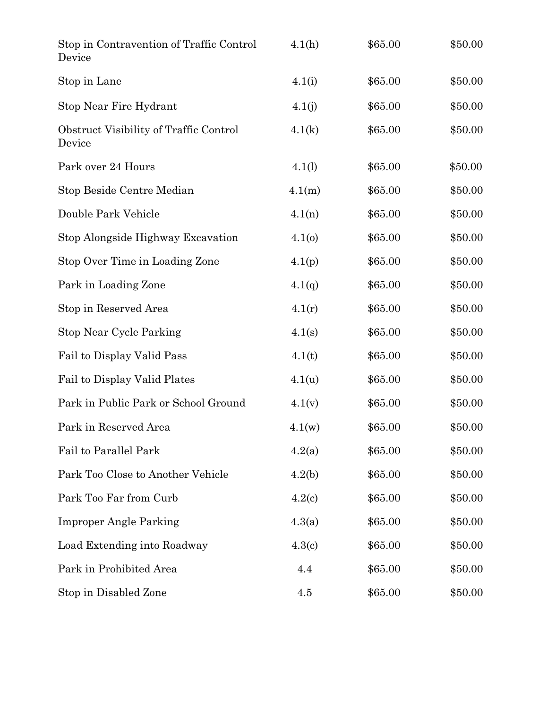| Stop in Contravention of Traffic Control<br>Device | 4.1(h) | \$65.00 | \$50.00 |
|----------------------------------------------------|--------|---------|---------|
| Stop in Lane                                       | 4.1(i) | \$65.00 | \$50.00 |
| Stop Near Fire Hydrant                             | 4.1(j) | \$65.00 | \$50.00 |
| Obstruct Visibility of Traffic Control<br>Device   | 4.1(k) | \$65.00 | \$50.00 |
| Park over 24 Hours                                 | 4.1(l) | \$65.00 | \$50.00 |
| Stop Beside Centre Median                          | 4.1(m) | \$65.00 | \$50.00 |
| Double Park Vehicle                                | 4.1(n) | \$65.00 | \$50.00 |
| Stop Alongside Highway Excavation                  | 4.1(0) | \$65.00 | \$50.00 |
| Stop Over Time in Loading Zone                     | 4.1(p) | \$65.00 | \$50.00 |
| Park in Loading Zone                               | 4.1(q) | \$65.00 | \$50.00 |
| Stop in Reserved Area                              | 4.1(r) | \$65.00 | \$50.00 |
| <b>Stop Near Cycle Parking</b>                     | 4.1(s) | \$65.00 | \$50.00 |
| Fail to Display Valid Pass                         | 4.1(t) | \$65.00 | \$50.00 |
| Fail to Display Valid Plates                       | 4.1(u) | \$65.00 | \$50.00 |
| Park in Public Park or School Ground               | 4.1(v) | \$65.00 | \$50.00 |
| Park in Reserved Area                              | 4.1(w) | \$65.00 | \$50.00 |
| Fail to Parallel Park                              | 4.2(a) | \$65.00 | \$50.00 |
| Park Too Close to Another Vehicle                  | 4.2(b) | \$65.00 | \$50.00 |
| Park Too Far from Curb                             | 4.2(c) | \$65.00 | \$50.00 |
| <b>Improper Angle Parking</b>                      | 4.3(a) | \$65.00 | \$50.00 |
| Load Extending into Roadway                        | 4.3(c) | \$65.00 | \$50.00 |
| Park in Prohibited Area                            | 4.4    | \$65.00 | \$50.00 |
| Stop in Disabled Zone                              | 4.5    | \$65.00 | \$50.00 |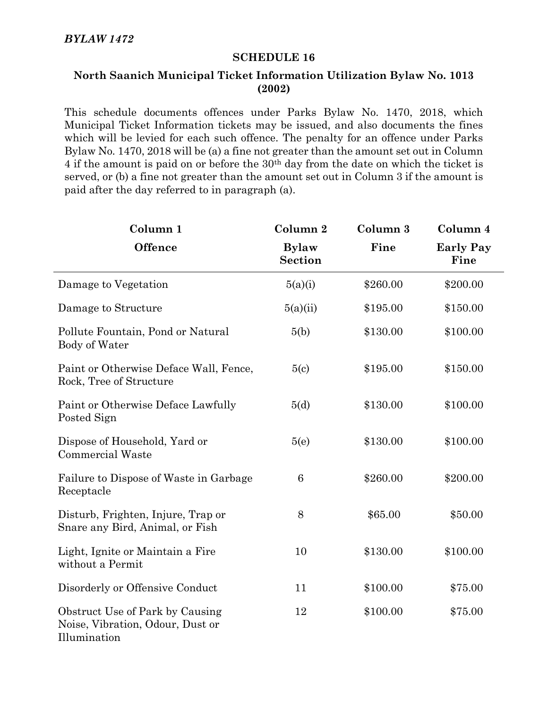# **North Saanich Municipal Ticket Information Utilization Bylaw No. 1013 (2002)**

This schedule documents offences under Parks Bylaw No. 1470, 2018, which Municipal Ticket Information tickets may be issued, and also documents the fines which will be levied for each such offence. The penalty for an offence under Parks Bylaw No. 1470, 2018 will be (a) a fine not greater than the amount set out in Column 4 if the amount is paid on or before the 30th day from the date on which the ticket is served, or (b) a fine not greater than the amount set out in Column 3 if the amount is paid after the day referred to in paragraph (a).

| Column <sub>1</sub>                                                                 | Column <sub>2</sub>            | Column 3 | Column 4                 |
|-------------------------------------------------------------------------------------|--------------------------------|----------|--------------------------|
| <b>Offence</b>                                                                      | <b>Bylaw</b><br><b>Section</b> | Fine     | <b>Early Pay</b><br>Fine |
| Damage to Vegetation                                                                | 5(a)(i)                        | \$260.00 | \$200.00                 |
| Damage to Structure                                                                 | 5(a)(ii)                       | \$195.00 | \$150.00                 |
| Pollute Fountain, Pond or Natural<br>Body of Water                                  | 5(b)                           | \$130.00 | \$100.00                 |
| Paint or Otherwise Deface Wall, Fence,<br>Rock, Tree of Structure                   | 5(c)                           | \$195.00 | \$150.00                 |
| Paint or Otherwise Deface Lawfully<br>Posted Sign                                   | 5(d)                           | \$130.00 | \$100.00                 |
| Dispose of Household, Yard or<br><b>Commercial Waste</b>                            | 5(e)                           | \$130.00 | \$100.00                 |
| Failure to Dispose of Waste in Garbage<br>Receptacle                                | 6                              | \$260.00 | \$200.00                 |
| Disturb, Frighten, Injure, Trap or<br>Snare any Bird, Animal, or Fish               | 8                              | \$65.00  | \$50.00                  |
| Light, Ignite or Maintain a Fire<br>without a Permit                                | 10                             | \$130.00 | \$100.00                 |
| Disorderly or Offensive Conduct                                                     | 11                             | \$100.00 | \$75.00                  |
| Obstruct Use of Park by Causing<br>Noise, Vibration, Odour, Dust or<br>Illumination | 12                             | \$100.00 | \$75.00                  |